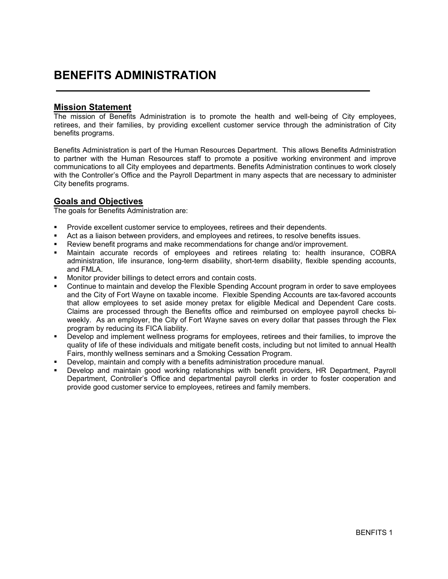## BENEFITS ADMINISTRATION

#### Mission Statement

The mission of Benefits Administration is to promote the health and well-being of City employees, retirees, and their families, by providing excellent customer service through the administration of City benefits programs.

Benefits Administration is part of the Human Resources Department. This allows Benefits Administration to partner with the Human Resources staff to promote a positive working environment and improve communications to all City employees and departments. Benefits Administration continues to work closely with the Controller's Office and the Payroll Department in many aspects that are necessary to administer City benefits programs.

#### Goals and Objectives

The goals for Benefits Administration are:

- Provide excellent customer service to employees, retirees and their dependents.
- Act as a liaison between providers, and employees and retirees, to resolve benefits issues.
- Review benefit programs and make recommendations for change and/or improvement.<br>A Maintain, accurate records of employees and retirees relating to: health insura
- Maintain accurate records of employees and retirees relating to: health insurance, COBRA administration, life insurance, long-term disability, short-term disability, flexible spending accounts, and FMLA.
- **Monitor provider billings to detect errors and contain costs.**
- Continue to maintain and develop the Flexible Spending Account program in order to save employees and the City of Fort Wayne on taxable income. Flexible Spending Accounts are tax-favored accounts that allow employees to set aside money pretax for eligible Medical and Dependent Care costs. Claims are processed through the Benefits office and reimbursed on employee payroll checks biweekly. As an employer, the City of Fort Wayne saves on every dollar that passes through the Flex program by reducing its FICA liability.
- Develop and implement wellness programs for employees, retirees and their families, to improve the quality of life of these individuals and mitigate benefit costs, including but not limited to annual Health Fairs, monthly wellness seminars and a Smoking Cessation Program.
- Develop, maintain and comply with a benefits administration procedure manual.
- Develop and maintain good working relationships with benefit providers, HR Department, Payroll Department, Controller's Office and departmental payroll clerks in order to foster cooperation and provide good customer service to employees, retirees and family members.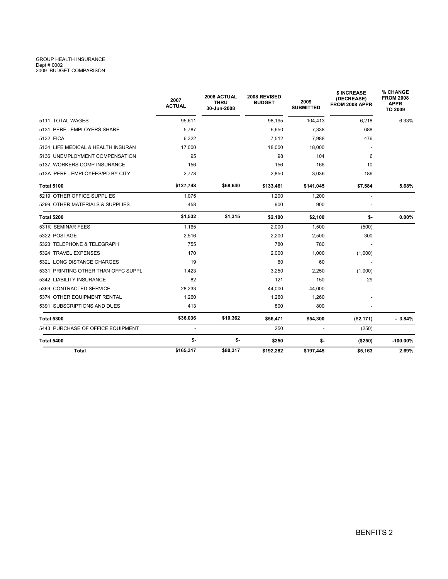# GROUP HEALTH INSURANCE Dept # 0002 2009 BUDGET COMPARISON

|                                     | 2007<br><b>ACTUAL</b>    | 2008 ACTUAL<br><b>THRU</b><br>30-Jun-2008 | 2008 REVISED<br><b>BUDGET</b> | 2009<br><b>SUBMITTED</b> | \$ INCREASE<br>(DECREASE)<br>FROM 2008 APPR | <b>% CHANGE</b><br><b>FROM 2008</b><br><b>APPR</b><br>TO 2009 |
|-------------------------------------|--------------------------|-------------------------------------------|-------------------------------|--------------------------|---------------------------------------------|---------------------------------------------------------------|
| 5111 TOTAL WAGES                    | 95.611                   |                                           | 98.195                        | 104,413                  | 6.218                                       | 6.33%                                                         |
| 5131 PERF - EMPLOYERS SHARE         | 5.787                    |                                           | 6.650                         | 7,338                    | 688                                         |                                                               |
| 5132 FICA                           | 6,322                    |                                           | 7,512                         | 7,988                    | 476                                         |                                                               |
| 5134 LIFE MEDICAL & HEALTH INSURAN  | 17.000                   |                                           | 18,000                        | 18,000                   |                                             |                                                               |
| 5136 UNEMPLOYMENT COMPENSATION      | 95                       |                                           | 98                            | 104                      | 6                                           |                                                               |
| 5137 WORKERS COMP INSURANCE         | 156                      |                                           | 156                           | 166                      | 10                                          |                                                               |
| 513A PERF - EMPLOYEES/PD BY CITY    | 2,778                    |                                           | 2,850                         | 3,036                    | 186                                         |                                                               |
| <b>Total 5100</b>                   | \$127,748                | \$68,640                                  | \$133,461                     | \$141,045                | \$7,584                                     | 5.68%                                                         |
| 5219 OTHER OFFICE SUPPLIES          | 1.075                    |                                           | 1.200                         | 1.200                    |                                             |                                                               |
| 5299 OTHER MATERIALS & SUPPLIES     | 458                      |                                           | 900                           | 900                      | $\overline{a}$                              |                                                               |
| <b>Total 5200</b>                   | \$1,532                  | \$1,315                                   | \$2,100                       | \$2,100                  | \$-                                         | $0.00\%$                                                      |
| 531K SEMINAR FEES                   | 1,165                    |                                           | 2,000                         | 1,500                    | (500)                                       |                                                               |
| 5322 POSTAGE                        | 2,516                    |                                           | 2,200                         | 2,500                    | 300                                         |                                                               |
| 5323 TELEPHONE & TELEGRAPH          | 755                      |                                           | 780                           | 780                      |                                             |                                                               |
| 5324 TRAVEL EXPENSES                | 170                      |                                           | 2,000                         | 1,000                    | (1,000)                                     |                                                               |
| 532L LONG DISTANCE CHARGES          | 19                       |                                           | 60                            | 60                       |                                             |                                                               |
| 5331 PRINTING OTHER THAN OFFC SUPPL | 1.423                    |                                           | 3,250                         | 2,250                    | (1,000)                                     |                                                               |
| 5342 LIABILITY INSURANCE            | 82                       |                                           | 121                           | 150                      | 29                                          |                                                               |
| 5369 CONTRACTED SERVICE             | 28,233                   |                                           | 44,000                        | 44,000                   |                                             |                                                               |
| 5374 OTHER EQUIPMENT RENTAL         | 1,260                    |                                           | 1,260                         | 1,260                    |                                             |                                                               |
| 5391 SUBSCRIPTIONS AND DUES         | 413                      |                                           | 800                           | 800                      |                                             |                                                               |
| <b>Total 5300</b>                   | \$36,036                 | \$10,362                                  | \$56,471                      | \$54,300                 | (\$2,171)                                   | $-3.84%$                                                      |
| 5443 PURCHASE OF OFFICE EQUIPMENT   | $\overline{\phantom{a}}$ |                                           | 250                           | $\blacksquare$           | (250)                                       |                                                               |
| <b>Total 5400</b>                   | \$-                      | \$-                                       | \$250                         | \$-                      | (\$250)                                     | $-100.00\%$                                                   |
| <b>Total</b>                        | \$165,317                | \$80,317                                  | \$192,282                     | \$197,445                | \$5,163                                     | 2.69%                                                         |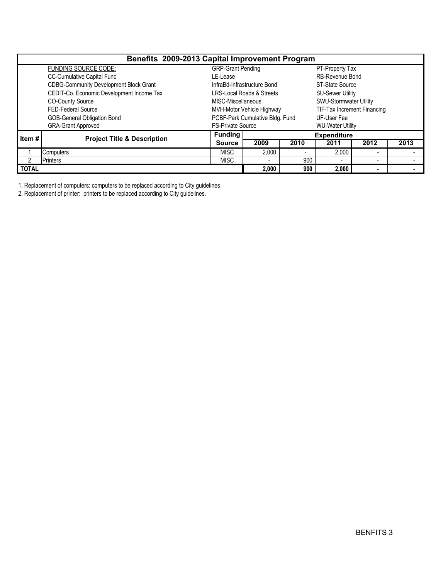| Benefits 2009-2013 Capital Improvement Program |                                               |                             |                                      |                         |                               |                          |      |  |  |  |  |
|------------------------------------------------|-----------------------------------------------|-----------------------------|--------------------------------------|-------------------------|-------------------------------|--------------------------|------|--|--|--|--|
|                                                | <b>FUNDING SOURCE CODE:</b>                   | <b>GRP-Grant Pending</b>    |                                      |                         | PT-Property Tax               |                          |      |  |  |  |  |
|                                                | <b>CC-Cumulative Capital Fund</b>             | LE-Lease                    |                                      | <b>RB-Revenue Bond</b>  |                               |                          |      |  |  |  |  |
|                                                | <b>CDBG-Community Development Block Grant</b> | InfraBd-Infrastructure Bond |                                      | ST-State Source         |                               |                          |      |  |  |  |  |
|                                                | CEDIT-Co. Economic Development Income Tax     |                             | <b>LRS-Local Roads &amp; Streets</b> |                         | <b>SU-Sewer Utility</b>       |                          |      |  |  |  |  |
|                                                | <b>CO-County Source</b>                       | MISC-Miscellaneous          |                                      |                         | <b>SWU-Stormwater Utility</b> |                          |      |  |  |  |  |
|                                                | FED-Federal Source                            |                             | MVH-Motor Vehicle Highway            |                         | TIF-Tax Increment Financing   |                          |      |  |  |  |  |
|                                                | GOB-General Obligation Bond                   |                             | PCBF-Park Cumulative Bldg. Fund      |                         | UF-User Fee                   |                          |      |  |  |  |  |
|                                                | <b>GRA-Grant Approved</b>                     | <b>PS-Private Source</b>    |                                      | <b>WU-Water Utility</b> |                               |                          |      |  |  |  |  |
| Item #                                         | <b>Project Title &amp; Description</b>        | <b>Funding</b>              |                                      |                         | <b>Expenditure</b>            |                          |      |  |  |  |  |
|                                                |                                               | <b>Source</b>               | 2009                                 | 2010                    | 2011                          | 2012                     | 2013 |  |  |  |  |
|                                                | Computers                                     | <b>MISC</b>                 | 2,000                                |                         | 2,000                         | <b>.</b>                 |      |  |  |  |  |
| っ                                              | <b>Printers</b>                               |                             | $\overline{\phantom{0}}$             | 900                     |                               | $\overline{\phantom{a}}$ |      |  |  |  |  |
| <b>TOTAL</b>                                   |                                               | 2,000                       | 900                                  | 2.000                   |                               |                          |      |  |  |  |  |

1. Replacement of computers: computers to be replaced according to City guidelines

2. Replacement of printer: printers to be replaced according to City guidelines.